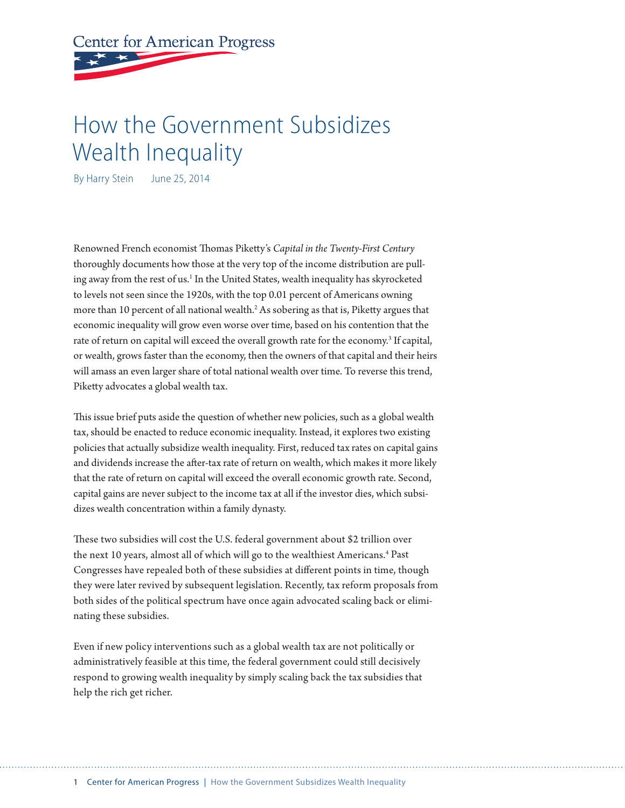**Center for American Progress** 

# How the Government Subsidizes Wealth Inequality

By Harry Stein June 25, 2014

Renowned French economist Thomas Piketty's *Capital in the Twenty-First Century* thoroughly documents how those at the very top of the income distribution are pulling away from the rest of us.<sup>1</sup> In the United States, wealth inequality has skyrocketed to levels not seen since the 1920s, with the top 0.01 percent of Americans owning more than 10 percent of all national wealth.<sup>2</sup> As sobering as that is, Piketty argues that economic inequality will grow even worse over time, based on his contention that the rate of return on capital will exceed the overall growth rate for the economy.<sup>3</sup> If capital, or wealth, grows faster than the economy, then the owners of that capital and their heirs will amass an even larger share of total national wealth over time. To reverse this trend, Piketty advocates a global wealth tax.

This issue brief puts aside the question of whether new policies, such as a global wealth tax, should be enacted to reduce economic inequality. Instead, it explores two existing policies that actually subsidize wealth inequality. First, reduced tax rates on capital gains and dividends increase the after-tax rate of return on wealth, which makes it more likely that the rate of return on capital will exceed the overall economic growth rate. Second, capital gains are never subject to the income tax at all if the investor dies, which subsidizes wealth concentration within a family dynasty.

These two subsidies will cost the U.S. federal government about \$2 trillion over the next 10 years, almost all of which will go to the wealthiest Americans.<sup>4</sup> Past Congresses have repealed both of these subsidies at different points in time, though they were later revived by subsequent legislation. Recently, tax reform proposals from both sides of the political spectrum have once again advocated scaling back or eliminating these subsidies.

Even if new policy interventions such as a global wealth tax are not politically or administratively feasible at this time, the federal government could still decisively respond to growing wealth inequality by simply scaling back the tax subsidies that help the rich get richer.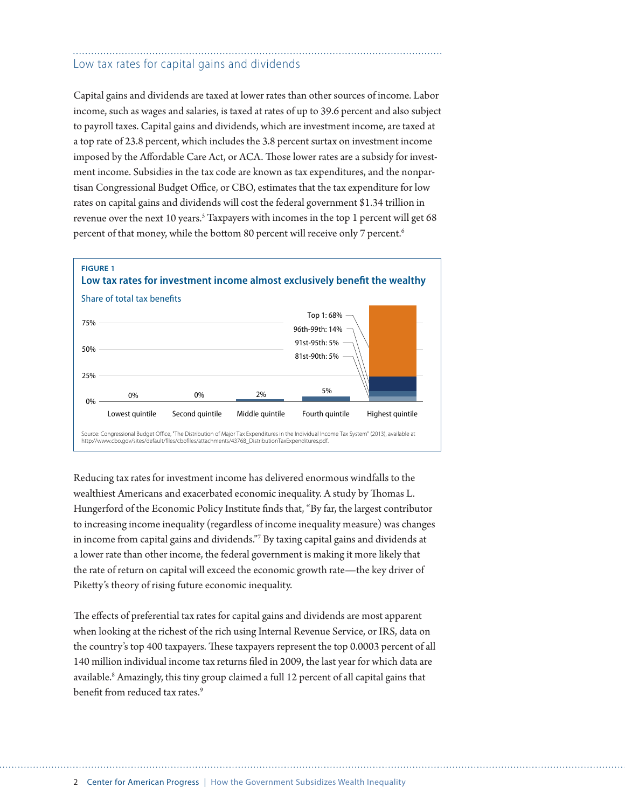## Low tax rates for capital gains and dividends

Capital gains and dividends are taxed at lower rates than other sources of income. Labor income, such as wages and salaries, is taxed at rates of up to 39.6 percent and also subject to payroll taxes. Capital gains and dividends, which are investment income, are taxed at a top rate of 23.8 percent, which includes the 3.8 percent surtax on investment income imposed by the Affordable Care Act, or ACA. Those lower rates are a subsidy for investment income. Subsidies in the tax code are known as tax expenditures, and the nonpartisan Congressional Budget Office, or CBO, estimates that the tax expenditure for low rates on capital gains and dividends will cost the federal government \$1.34 trillion in revenue over the next 10 years.<sup>5</sup> Taxpayers with incomes in the top 1 percent will get 68 percent of that money, while the bottom 80 percent will receive only 7 percent.<sup>6</sup>



Reducing tax rates for investment income has delivered enormous windfalls to the wealthiest Americans and exacerbated economic inequality. A study by Thomas L. Hungerford of the Economic Policy Institute finds that, "By far, the largest contributor to increasing income inequality (regardless of income inequality measure) was changes in income from capital gains and dividends."7 By taxing capital gains and dividends at a lower rate than other income, the federal government is making it more likely that the rate of return on capital will exceed the economic growth rate—the key driver of Piketty's theory of rising future economic inequality.

The effects of preferential tax rates for capital gains and dividends are most apparent when looking at the richest of the rich using Internal Revenue Service, or IRS, data on the country's top 400 taxpayers. These taxpayers represent the top 0.0003 percent of all 140 million individual income tax returns filed in 2009, the last year for which data are available.<sup>8</sup> Amazingly, this tiny group claimed a full 12 percent of all capital gains that benefit from reduced tax rates.<sup>9</sup>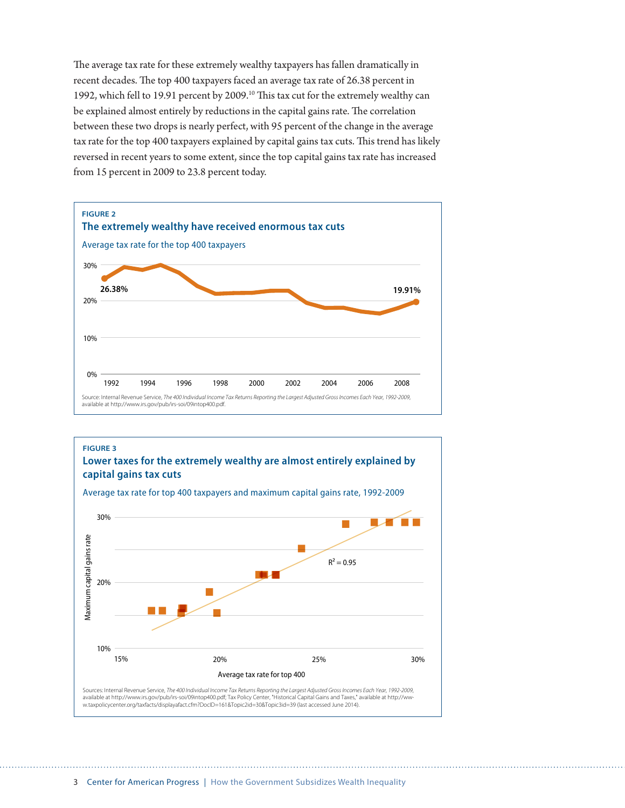The average tax rate for these extremely wealthy taxpayers has fallen dramatically in recent decades. The top 400 taxpayers faced an average tax rate of 26.38 percent in 1992, which fell to 19.91 percent by 2009.10 This tax cut for the extremely wealthy can be explained almost entirely by reductions in the capital gains rate. The correlation between these two drops is nearly perfect, with 95 percent of the change in the average tax rate for the top 400 taxpayers explained by capital gains tax cuts. This trend has likely reversed in recent years to some extent, since the top capital gains tax rate has increased from 15 percent in 2009 to 23.8 percent today.



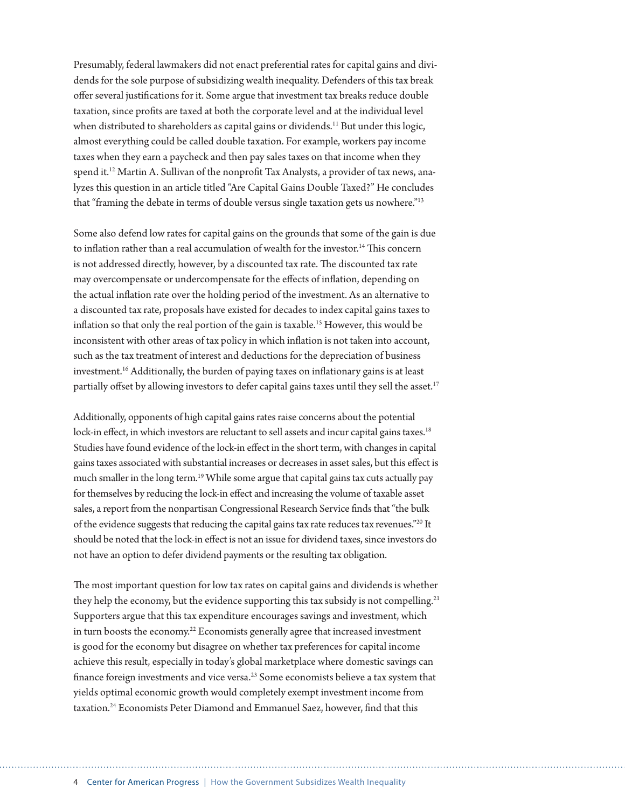Presumably, federal lawmakers did not enact preferential rates for capital gains and dividends for the sole purpose of subsidizing wealth inequality. Defenders of this tax break offer several justifications for it. Some argue that investment tax breaks reduce double taxation, since profits are taxed at both the corporate level and at the individual level when distributed to shareholders as capital gains or dividends.<sup>11</sup> But under this logic, almost everything could be called double taxation. For example, workers pay income taxes when they earn a paycheck and then pay sales taxes on that income when they spend it.<sup>12</sup> Martin A. Sullivan of the nonprofit Tax Analysts, a provider of tax news, analyzes this question in an article titled "Are Capital Gains Double Taxed?" He concludes that "framing the debate in terms of double versus single taxation gets us nowhere."13

Some also defend low rates for capital gains on the grounds that some of the gain is due to inflation rather than a real accumulation of wealth for the investor.<sup>14</sup> This concern is not addressed directly, however, by a discounted tax rate. The discounted tax rate may overcompensate or undercompensate for the effects of inflation, depending on the actual inflation rate over the holding period of the investment. As an alternative to a discounted tax rate, proposals have existed for decades to index capital gains taxes to inflation so that only the real portion of the gain is taxable.<sup>15</sup> However, this would be inconsistent with other areas of tax policy in which inflation is not taken into account, such as the tax treatment of interest and deductions for the depreciation of business investment.16 Additionally, the burden of paying taxes on inflationary gains is at least partially offset by allowing investors to defer capital gains taxes until they sell the asset.<sup>17</sup>

Additionally, opponents of high capital gains rates raise concerns about the potential lock-in effect, in which investors are reluctant to sell assets and incur capital gains taxes.<sup>18</sup> Studies have found evidence of the lock-in effect in the short term, with changes in capital gains taxes associated with substantial increases or decreases in asset sales, but this effect is much smaller in the long term.<sup>19</sup> While some argue that capital gains tax cuts actually pay for themselves by reducing the lock-in effect and increasing the volume of taxable asset sales, a report from the nonpartisan Congressional Research Service finds that "the bulk of the evidence suggests that reducing the capital gains tax rate reduces tax revenues."20 It should be noted that the lock-in effect is not an issue for dividend taxes, since investors do not have an option to defer dividend payments or the resulting tax obligation.

The most important question for low tax rates on capital gains and dividends is whether they help the economy, but the evidence supporting this tax subsidy is not compelling.<sup>21</sup> Supporters argue that this tax expenditure encourages savings and investment, which in turn boosts the economy.<sup>22</sup> Economists generally agree that increased investment is good for the economy but disagree on whether tax preferences for capital income achieve this result, especially in today's global marketplace where domestic savings can finance foreign investments and vice versa.23 Some economists believe a tax system that yields optimal economic growth would completely exempt investment income from taxation.<sup>24</sup> Economists Peter Diamond and Emmanuel Saez, however, find that this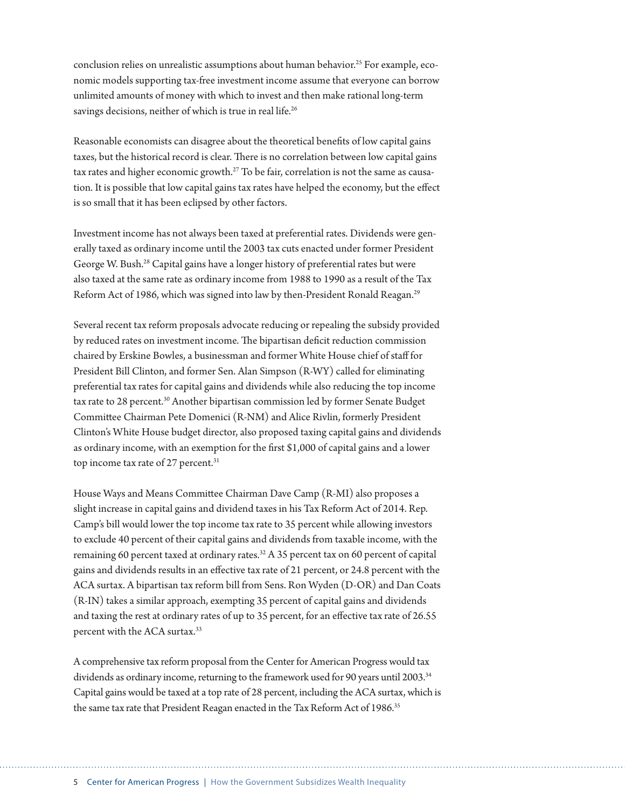conclusion relies on unrealistic assumptions about human behavior.25 For example, economic models supporting tax-free investment income assume that everyone can borrow unlimited amounts of money with which to invest and then make rational long-term savings decisions, neither of which is true in real life.<sup>26</sup>

Reasonable economists can disagree about the theoretical benefits of low capital gains taxes, but the historical record is clear. There is no correlation between low capital gains tax rates and higher economic growth.<sup>27</sup> To be fair, correlation is not the same as causation. It is possible that low capital gains tax rates have helped the economy, but the effect is so small that it has been eclipsed by other factors.

Investment income has not always been taxed at preferential rates. Dividends were generally taxed as ordinary income until the 2003 tax cuts enacted under former President George W. Bush.28 Capital gains have a longer history of preferential rates but were also taxed at the same rate as ordinary income from 1988 to 1990 as a result of the Tax Reform Act of 1986, which was signed into law by then-President Ronald Reagan.<sup>29</sup>

Several recent tax reform proposals advocate reducing or repealing the subsidy provided by reduced rates on investment income. The bipartisan deficit reduction commission chaired by Erskine Bowles, a businessman and former White House chief of staff for President Bill Clinton, and former Sen. Alan Simpson (R-WY) called for eliminating preferential tax rates for capital gains and dividends while also reducing the top income tax rate to 28 percent.<sup>30</sup> Another bipartisan commission led by former Senate Budget Committee Chairman Pete Domenici (R-NM) and Alice Rivlin, formerly President Clinton's White House budget director, also proposed taxing capital gains and dividends as ordinary income, with an exemption for the first \$1,000 of capital gains and a lower top income tax rate of 27 percent.<sup>31</sup>

House Ways and Means Committee Chairman Dave Camp (R-MI) also proposes a slight increase in capital gains and dividend taxes in his Tax Reform Act of 2014. Rep. Camp's bill would lower the top income tax rate to 35 percent while allowing investors to exclude 40 percent of their capital gains and dividends from taxable income, with the remaining 60 percent taxed at ordinary rates. $32$  A 35 percent tax on 60 percent of capital gains and dividends results in an effective tax rate of 21 percent, or 24.8 percent with the ACA surtax. A bipartisan tax reform bill from Sens. Ron Wyden (D-OR) and Dan Coats (R-IN) takes a similar approach, exempting 35 percent of capital gains and dividends and taxing the rest at ordinary rates of up to 35 percent, for an effective tax rate of 26.55 percent with the ACA surtax.33

A comprehensive tax reform proposal from the Center for American Progress would tax dividends as ordinary income, returning to the framework used for 90 years until 2003.<sup>34</sup> Capital gains would be taxed at a top rate of 28 percent, including the ACA surtax, which is the same tax rate that President Reagan enacted in the Tax Reform Act of 1986.<sup>35</sup>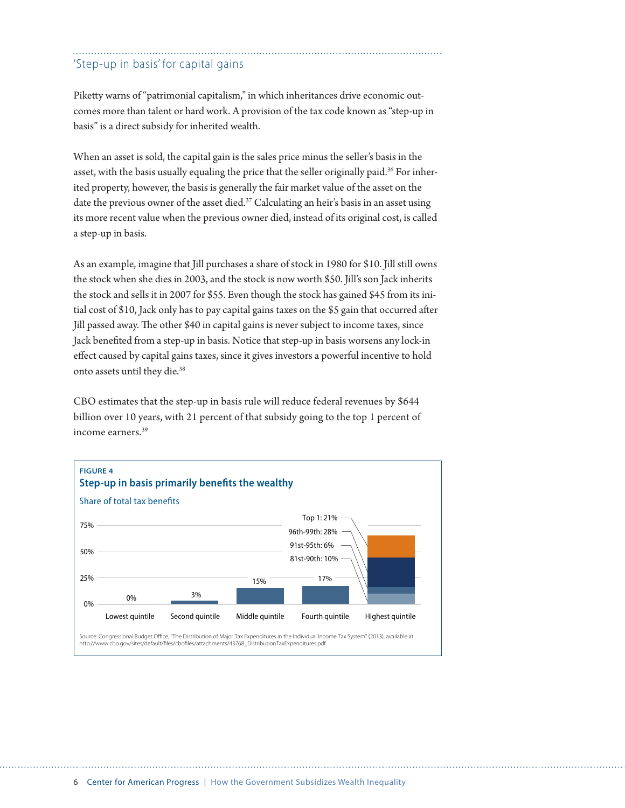### 'Step-up in basis' for capital gains

Piketty warns of "patrimonial capitalism," in which inheritances drive economic outcomes more than talent or hard work. A provision of the tax code known as "step-up in basis" is a direct subsidy for inherited wealth.

When an asset is sold, the capital gain is the sales price minus the seller's basis in the asset, with the basis usually equaling the price that the seller originally paid.<sup>36</sup> For inherited property, however, the basis is generally the fair market value of the asset on the date the previous owner of the asset died.<sup>37</sup> Calculating an heir's basis in an asset using its more recent value when the previous owner died, instead of its original cost, is called a step-up in basis.

As an example, imagine that Jill purchases a share of stock in 1980 for \$10. Jill still owns the stock when she dies in 2003, and the stock is now worth \$50. Jill's son Jack inherits the stock and sells it in 2007 for \$55. Even though the stock has gained \$45 from its initial cost of \$10, Jack only has to pay capital gains taxes on the \$5 gain that occurred after Jill passed away. The other \$40 in capital gains is never subject to income taxes, since Jack benefited from a step-up in basis. Notice that step-up in basis worsens any lock-in effect caused by capital gains taxes, since it gives investors a powerful incentive to hold onto assets until they die.<sup>38</sup>

CBO estimates that the step-up in basis rule will reduce federal revenues by \$644 billion over 10 years, with 21 percent of that subsidy going to the top 1 percent of income earners.39

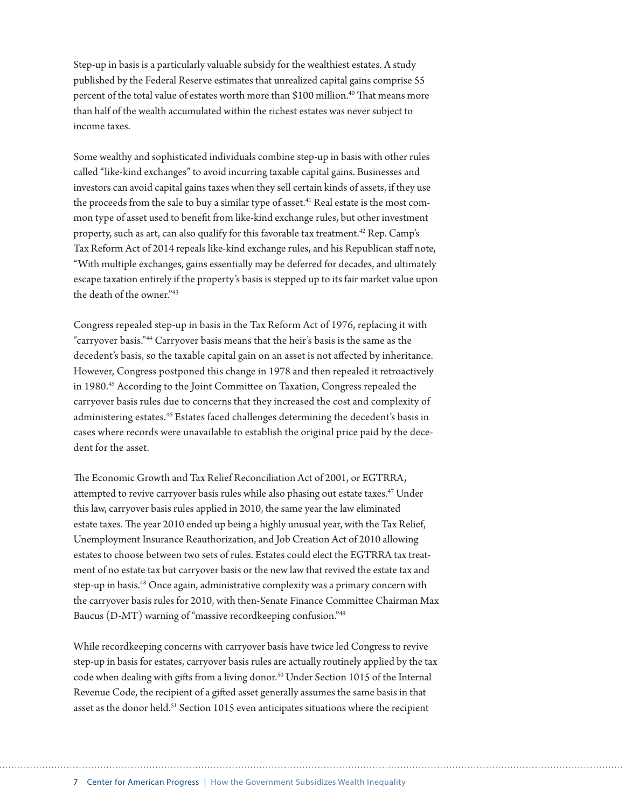Step-up in basis is a particularly valuable subsidy for the wealthiest estates. A study published by the Federal Reserve estimates that unrealized capital gains comprise 55 percent of the total value of estates worth more than \$100 million.<sup>40</sup> That means more than half of the wealth accumulated within the richest estates was never subject to income taxes.

Some wealthy and sophisticated individuals combine step-up in basis with other rules called "like-kind exchanges" to avoid incurring taxable capital gains. Businesses and investors can avoid capital gains taxes when they sell certain kinds of assets, if they use the proceeds from the sale to buy a similar type of asset.<sup>41</sup> Real estate is the most common type of asset used to benefit from like-kind exchange rules, but other investment property, such as art, can also qualify for this favorable tax treatment.<sup>42</sup> Rep. Camp's Tax Reform Act of 2014 repeals like-kind exchange rules, and his Republican staff note, "With multiple exchanges, gains essentially may be deferred for decades, and ultimately escape taxation entirely if the property's basis is stepped up to its fair market value upon the death of the owner"<sup>43</sup>

Congress repealed step-up in basis in the Tax Reform Act of 1976, replacing it with "carryover basis."44 Carryover basis means that the heir's basis is the same as the decedent's basis, so the taxable capital gain on an asset is not affected by inheritance. However, Congress postponed this change in 1978 and then repealed it retroactively in 1980.45 According to the Joint Committee on Taxation, Congress repealed the carryover basis rules due to concerns that they increased the cost and complexity of administering estates.46 Estates faced challenges determining the decedent's basis in cases where records were unavailable to establish the original price paid by the decedent for the asset.

The Economic Growth and Tax Relief Reconciliation Act of 2001, or EGTRRA, attempted to revive carryover basis rules while also phasing out estate taxes.<sup>47</sup> Under this law, carryover basis rules applied in 2010, the same year the law eliminated estate taxes. The year 2010 ended up being a highly unusual year, with the Tax Relief, Unemployment Insurance Reauthorization, and Job Creation Act of 2010 allowing estates to choose between two sets of rules. Estates could elect the EGTRRA tax treatment of no estate tax but carryover basis or the new law that revived the estate tax and step-up in basis.<sup>48</sup> Once again, administrative complexity was a primary concern with the carryover basis rules for 2010, with then-Senate Finance Committee Chairman Max Baucus (D-MT) warning of "massive recordkeeping confusion."49

While recordkeeping concerns with carryover basis have twice led Congress to revive step-up in basis for estates, carryover basis rules are actually routinely applied by the tax code when dealing with gifts from a living donor.<sup>50</sup> Under Section 1015 of the Internal Revenue Code, the recipient of a gifted asset generally assumes the same basis in that asset as the donor held.<sup>51</sup> Section 1015 even anticipates situations where the recipient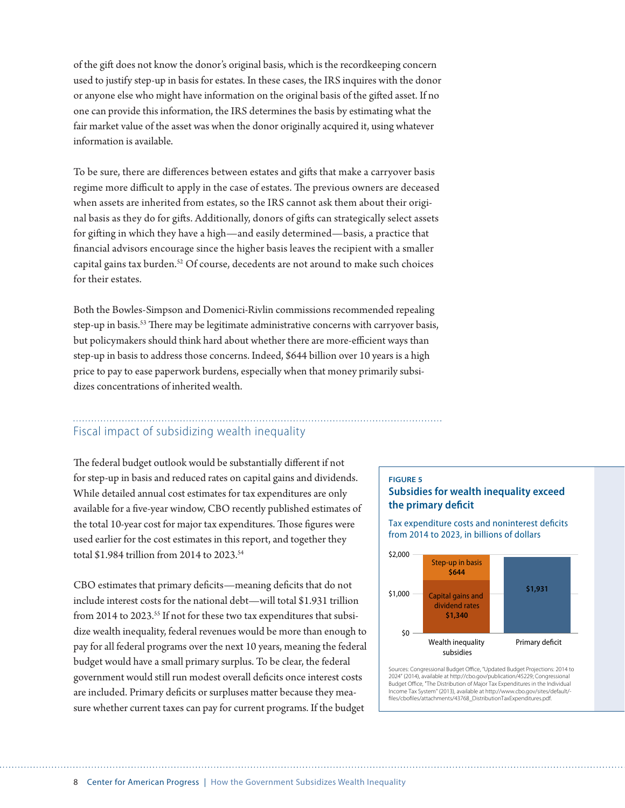of the gift does not know the donor's original basis, which is the recordkeeping concern used to justify step-up in basis for estates. In these cases, the IRS inquires with the donor or anyone else who might have information on the original basis of the gifted asset. If no one can provide this information, the IRS determines the basis by estimating what the fair market value of the asset was when the donor originally acquired it, using whatever information is available.

To be sure, there are differences between estates and gifts that make a carryover basis regime more difficult to apply in the case of estates. The previous owners are deceased when assets are inherited from estates, so the IRS cannot ask them about their original basis as they do for gifts. Additionally, donors of gifts can strategically select assets for gifting in which they have a high—and easily determined—basis, a practice that financial advisors encourage since the higher basis leaves the recipient with a smaller capital gains tax burden.52 Of course, decedents are not around to make such choices for their estates.

Both the Bowles-Simpson and Domenici-Rivlin commissions recommended repealing step-up in basis.<sup>53</sup> There may be legitimate administrative concerns with carryover basis, but policymakers should think hard about whether there are more-efficient ways than step-up in basis to address those concerns. Indeed, \$644 billion over 10 years is a high price to pay to ease paperwork burdens, especially when that money primarily subsidizes concentrations of inherited wealth.

### Fiscal impact of subsidizing wealth inequality

The federal budget outlook would be substantially different if not for step-up in basis and reduced rates on capital gains and dividends. While detailed annual cost estimates for tax expenditures are only available for a five-year window, CBO recently published estimates of the total 10-year cost for major tax expenditures. Those figures were used earlier for the cost estimates in this report, and together they total \$1.984 trillion from 2014 to 2023.54

CBO estimates that primary deficits—meaning deficits that do not include interest costs for the national debt—will total \$1.931 trillion from 2014 to 2023.<sup>55</sup> If not for these two tax expenditures that subsidize wealth inequality, federal revenues would be more than enough to pay for all federal programs over the next 10 years, meaning the federal budget would have a small primary surplus. To be clear, the federal government would still run modest overall deficits once interest costs are included. Primary deficits or surpluses matter because they measure whether current taxes can pay for current programs. If the budget

#### **FIGURE 5 Subsidies for wealth inequality exceed the primary deficit**

Tax expenditure costs and noninterest deficits from 2014 to 2023, in billions of dollars



Sources: Congressional Budget Office, "Updated Budget Projections: 2014 to 2024" (2014), available at http://cbo.gov/publication/45229; Congressional Budget Office, "The Distribution of Major Tax Expenditures in the Individual Income Tax System" (2013), available at http://www.cbo.gov/sites/default/ files/cbofiles/attachments/43768\_DistributionTaxExpenditures.pdf.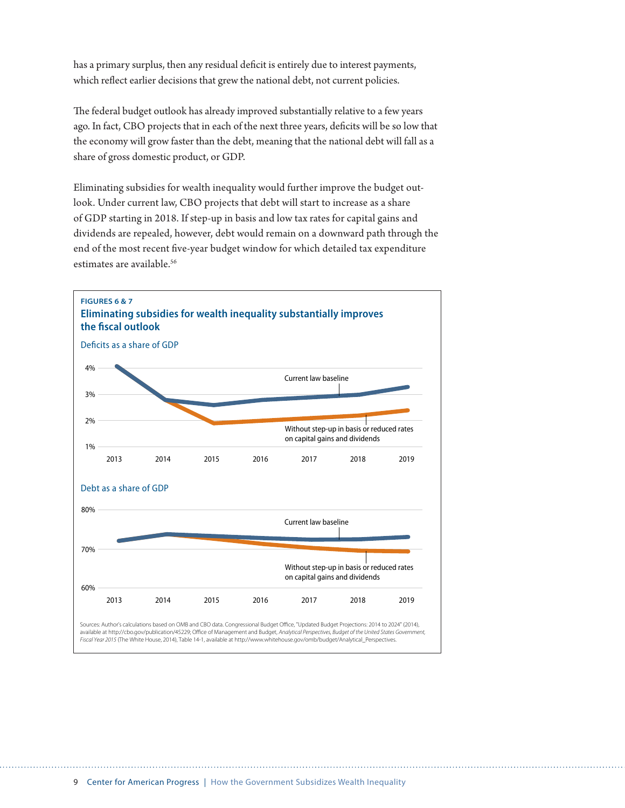has a primary surplus, then any residual deficit is entirely due to interest payments, which reflect earlier decisions that grew the national debt, not current policies.

The federal budget outlook has already improved substantially relative to a few years ago. In fact, CBO projects that in each of the next three years, deficits will be so low that the economy will grow faster than the debt, meaning that the national debt will fall as a share of gross domestic product, or GDP.

Eliminating subsidies for wealth inequality would further improve the budget outlook. Under current law, CBO projects that debt will start to increase as a share of GDP starting in 2018. If step-up in basis and low tax rates for capital gains and dividends are repealed, however, debt would remain on a downward path through the end of the most recent five-year budget window for which detailed tax expenditure estimates are available.<sup>56</sup>

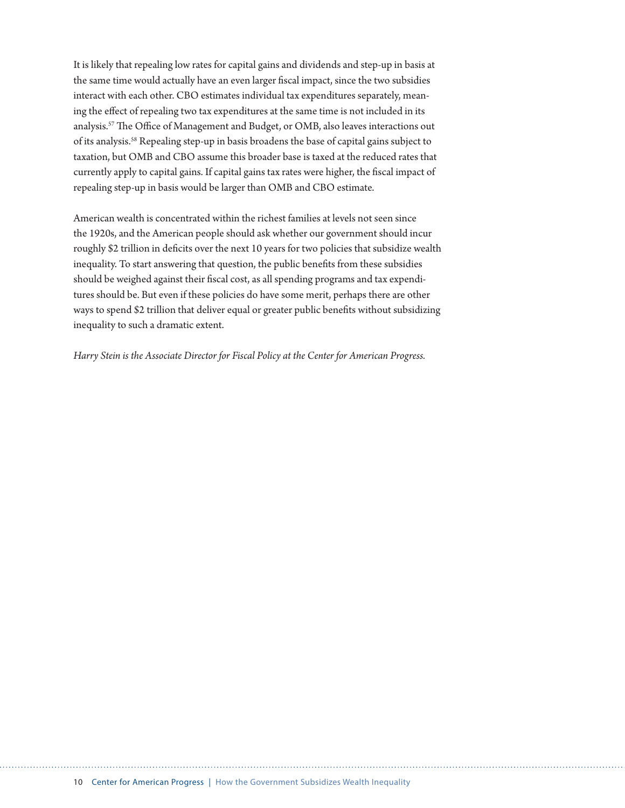It is likely that repealing low rates for capital gains and dividends and step-up in basis at the same time would actually have an even larger fiscal impact, since the two subsidies interact with each other. CBO estimates individual tax expenditures separately, meaning the effect of repealing two tax expenditures at the same time is not included in its analysis.57 The Office of Management and Budget, or OMB, also leaves interactions out of its analysis.58 Repealing step-up in basis broadens the base of capital gains subject to taxation, but OMB and CBO assume this broader base is taxed at the reduced rates that currently apply to capital gains. If capital gains tax rates were higher, the fiscal impact of repealing step-up in basis would be larger than OMB and CBO estimate.

American wealth is concentrated within the richest families at levels not seen since the 1920s, and the American people should ask whether our government should incur roughly \$2 trillion in deficits over the next 10 years for two policies that subsidize wealth inequality. To start answering that question, the public benefits from these subsidies should be weighed against their fiscal cost, as all spending programs and tax expenditures should be. But even if these policies do have some merit, perhaps there are other ways to spend \$2 trillion that deliver equal or greater public benefits without subsidizing inequality to such a dramatic extent.

*Harry Stein is the Associate Director for Fiscal Policy at the Center for American Progress.*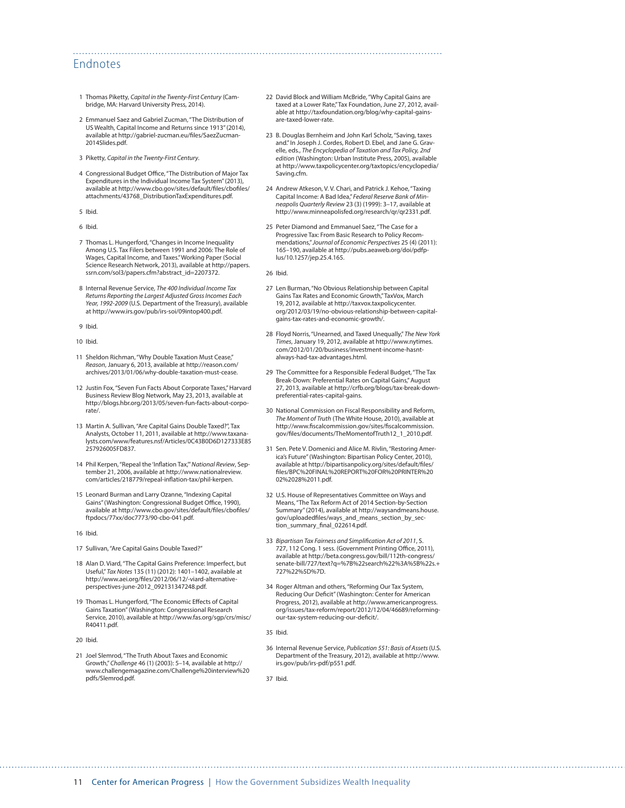#### Endnotes

- 1 Thomas Piketty, *Capital in the Twenty-First Century* (Cambridge, MA: Harvard University Press, 2014).
- 2 Emmanuel Saez and Gabriel Zucman, "The Distribution of US Wealth, Capital Income and Returns since 1913" (2014), available at [http://gabriel-zucman.eu/files/SaezZucman-](http://gabriel-zucman.eu/files/SaezZucman2014Slides.pdf)[2014Slides.pdf](http://gabriel-zucman.eu/files/SaezZucman2014Slides.pdf).
- 3 Piketty, *Capital in the Twenty-First Century*.
- 4 Congressional Budget Office, "The Distribution of Major Tax Expenditures in the Individual Income Tax System" (2013), available at [http://www.cbo.gov/sites/default/files/cbofiles/](http://www.cbo.gov/sites/default/files/cbofiles/attachments/43768_DistributionTaxExpenditures.pdf) [attachments/43768\\_DistributionTaxExpenditures.pdf](http://www.cbo.gov/sites/default/files/cbofiles/attachments/43768_DistributionTaxExpenditures.pdf).
- 5 Ibid.
- 6 Ibid.
- 7 Thomas L. Hungerford, "Changes in Income Inequality Among U.S. Tax Filers between 1991 and 2006: The Role of Wages, Capital Income, and Taxes." Working Paper (Social Science Research Network, 2013), available at [http://papers.](http://papers.ssrn.com/sol3/papers.cfm?abstract_id=2207372) [ssrn.com/sol3/papers.cfm?abstract\\_id=2207372.](http://papers.ssrn.com/sol3/papers.cfm?abstract_id=2207372)
- 8 Internal Revenue Service, *The 400 Individual Income Tax Returns Reporting the Largest Adjusted Gross Incomes Each Year, 1992-2009* (U.S. Department of the Treasury), available at <http://www.irs.gov/pub/irs-soi/09intop400.pdf>.
- 9 Ibid.
- 10 Ibid.
- 11 Sheldon Richman, "Why Double Taxation Must Cease," *Reason*, January 6, 2013, available at [http://reason.com/](http://reason.com/archives/2013/01/06/why-double-taxation-must-cease) [archives/2013/01/06/why-double-taxation-must-cease.](http://reason.com/archives/2013/01/06/why-double-taxation-must-cease)
- 12 Justin Fox, "Seven Fun Facts About Corporate Taxes," Harvard Business Review Blog Network, May 23, 2013, available at [http://blogs.hbr.org/2013/05/seven-fun-facts-about-corpo](http://blogs.hbr.org/2013/05/seven-fun-facts-about-corporate/)[rate/.](http://blogs.hbr.org/2013/05/seven-fun-facts-about-corporate/)
- 13 Martin A. Sullivan, "Are Capital Gains Double Taxed?", Tax Analysts, October 11, 2011, available at [http://www.taxana](http://www.taxanalysts.com/www/features.nsf/Articles/0C43B0D6D127333E85257926005FD837)[lysts.com/www/features.nsf/Articles/0C43B0D6D127333E85](http://www.taxanalysts.com/www/features.nsf/Articles/0C43B0D6D127333E85257926005FD837) [257926005FD837.](http://www.taxanalysts.com/www/features.nsf/Articles/0C43B0D6D127333E85257926005FD837)
- 14 Phil Kerpen, "Repeal the 'Inflation Tax,'" *National Review*, September 21, 2006, available at [http://www.nationalreview.](http://www.nationalreview.com/articles/218779/repeal-inflation-tax/phil-kerpen) [com/articles/218779/repeal-inflation-tax/phil-kerpen](http://www.nationalreview.com/articles/218779/repeal-inflation-tax/phil-kerpen).
- 15 Leonard Burman and Larry Ozanne, "Indexing Capital Gains" (Washington: Congressional Budget Office, 1990), available at [http://www.cbo.gov/sites/default/files/cbofiles/](http://www.cbo.gov/sites/default/files/cbofiles/ftpdocs/77xx/doc7773/90-cbo-041.pdf) [ftpdocs/77xx/doc7773/90-cbo-041.pdf.](http://www.cbo.gov/sites/default/files/cbofiles/ftpdocs/77xx/doc7773/90-cbo-041.pdf)
- 16 Ibid.
- 17 Sullivan, "Are Capital Gains Double Taxed?"
- 18 Alan D. Viard, "The Capital Gains Preference: Imperfect, but Useful," *Tax Notes* 135 (11) (2012): 1401–1402, available at [http://www.aei.org/files/2012/06/12/-viard-alternative](http://www.aei.org/files/2012/06/12/-viard-alternative-perspectives-june-2012_092131347248.pdf)[perspectives-june-2012\\_092131347248.pdf](http://www.aei.org/files/2012/06/12/-viard-alternative-perspectives-june-2012_092131347248.pdf).
- 19 Thomas L. Hungerford, "The Economic Effects of Capital Gains Taxation" (Washington: Congressional Research Service, 2010), available at [http://www.fas.org/sgp/crs/misc/](http://www.fas.org/sgp/crs/misc/R40411.pdf) [R40411.pdf.](http://www.fas.org/sgp/crs/misc/R40411.pdf)
- 20 Ibid.
- 21 Joel Slemrod, "The Truth About Taxes and Economic Growth," *Challenge* 46 (1) (2003): 5–14, available at [http://](http://www.challengemagazine.com/Challenge%20interview%20pdfs/Slemrod.pdf) [www.challengemagazine.com/Challenge%20interview%20](http://www.challengemagazine.com/Challenge%20interview%20pdfs/Slemrod.pdf) [pdfs/Slemrod.pdf](http://www.challengemagazine.com/Challenge%20interview%20pdfs/Slemrod.pdf).
- 22 David Block and William McBride, "Why Capital Gains are taxed at a Lower Rate," Tax Foundation, June 27, 2012, available at [http://taxfoundation.org/blog/why-capital-gains](http://taxfoundation.org/blog/why-capital-gains-are-taxed-lower-rate)[are-taxed-lower-rate.](http://taxfoundation.org/blog/why-capital-gains-are-taxed-lower-rate)
- 23 B. Douglas Bernheim and John Karl Scholz, "Saving, taxes and." In Joseph J. Cordes, Robert D. Ebel, and Jane G. Gravelle, eds., *The Encyclopedia of Taxation and Tax Policy, 2nd edition* (Washington: Urban Institute Press, 2005), available at [http://www.taxpolicycenter.org/taxtopics/encyclopedia/](http://www.taxpolicycenter.org/taxtopics/encyclopedia/Saving.cfm) [Saving.cfm](http://www.taxpolicycenter.org/taxtopics/encyclopedia/Saving.cfm).
- 24 Andrew Atkeson, V. V. Chari, and Patrick J. Kehoe, "Taxing Capital Income: A Bad Idea," *Federal Reserve Bank of Minneapolis Quarterly Review* 23 (3) (1999): 3–17, available at [http://www.minneapolisfed.org/research/qr/qr2331.pdf.](http://www.minneapolisfed.org/research/qr/qr2331.pdf)
- 25 Peter Diamond and Emmanuel Saez, "The Case for a Progressive Tax: From Basic Research to Policy Recommendations," *Journal of Economic Perspectives* 25 (4) (2011): 165–190, available at [http://pubs.aeaweb.org/doi/pdfp](http://pubs.aeaweb.org/doi/pdfplus/10.1257/jep.25.4.165)[lus/10.1257/jep.25.4.165](http://pubs.aeaweb.org/doi/pdfplus/10.1257/jep.25.4.165).

26 Ibid.

- 27 Len Burman, "No Obvious Relationship between Capital Gains Tax Rates and Economic Growth," TaxVox, March 19, 2012, available at [http://taxvox.taxpolicycenter.](http://taxvox.taxpolicycenter.org/2012/03/19/no-obvious-relationship-between-capital-gains-tax-rates-and-economic-growth/) [org/2012/03/19/no-obvious-relationship-between-capital](http://taxvox.taxpolicycenter.org/2012/03/19/no-obvious-relationship-between-capital-gains-tax-rates-and-economic-growth/)[gains-tax-rates-and-economic-growth/](http://taxvox.taxpolicycenter.org/2012/03/19/no-obvious-relationship-between-capital-gains-tax-rates-and-economic-growth/).
- 28 Floyd Norris, "Unearned, and Taxed Unequally," *The New York Times*, January 19, 2012, available at [http://www.nytimes.](http://www.nytimes.com/2012/01/20/business/investment-income-hasnt-always-had-tax-advantages.html) [com/2012/01/20/business/investment-income-hasnt](http://www.nytimes.com/2012/01/20/business/investment-income-hasnt-always-had-tax-advantages.html)[always-had-tax-advantages.html](http://www.nytimes.com/2012/01/20/business/investment-income-hasnt-always-had-tax-advantages.html).
- 29 The Committee for a Responsible Federal Budget, "The Tax Break-Down: Preferential Rates on Capital Gains," August 27, 2013, available at [http://crfb.org/blogs/tax-break-down](http://crfb.org/blogs/tax-break-down-preferential-rates-capital-gains)[preferential-rates-capital-gains](http://crfb.org/blogs/tax-break-down-preferential-rates-capital-gains).
- 30 National Commission on Fiscal Responsibility and Reform, *The Moment of Truth* (The White House, 2010), available at [http://www.fiscalcommission.gov/sites/fiscalcommission.](http://www.fiscalcommission.gov/sites/fiscalcommission.gov/files/documents/TheMomentofTruth12_1_2010.pdf) [gov/files/documents/TheMomentofTruth12\\_1\\_2010.pdf](http://www.fiscalcommission.gov/sites/fiscalcommission.gov/files/documents/TheMomentofTruth12_1_2010.pdf).
- 31 Sen. Pete V. Domenici and Alice M. Rivlin, "Restoring America's Future" (Washington: Bipartisan Policy Center, 2010), available at [http://bipartisanpolicy.org/sites/default/files/](http://bipartisanpolicy.org/sites/default/files/files/BPC%20FINAL%20REPORT%20FOR%20PRINTER%2002%2028%2011.pdf) [files/BPC%20FINAL%20REPORT%20FOR%20PRINTER%20](http://bipartisanpolicy.org/sites/default/files/files/BPC%20FINAL%20REPORT%20FOR%20PRINTER%2002%2028%2011.pdf) [02%2028%2011.pdf](http://bipartisanpolicy.org/sites/default/files/files/BPC%20FINAL%20REPORT%20FOR%20PRINTER%2002%2028%2011.pdf).
- 32 U.S. House of Representatives Committee on Ways and Means, "The Tax Reform Act of 2014 Section-by-Section Summary" (2014), available at [http://waysandmeans.house.](http://waysandmeans.house.gov/uploadedfiles/ways_and_means_section_by_section_summary_final_022614.pdf) [gov/uploadedfiles/ways\\_and\\_means\\_section\\_by\\_sec](http://waysandmeans.house.gov/uploadedfiles/ways_and_means_section_by_section_summary_final_022614.pdf)[tion\\_summary\\_final\\_022614.pdf](http://waysandmeans.house.gov/uploadedfiles/ways_and_means_section_by_section_summary_final_022614.pdf).
- 33 *Bipartisan Tax Fairness and Simplification Act of 2011*, S. 727, 112 Cong. 1 sess. (Government Printing Office, 2011), available at [http://beta.congress.gov/bill/112th-congress/](http://beta.congress.gov/bill/112th-congress/senate-bill/727/text?q=%7B%22search%22%3A%5B%22s.+727%22%5D%7D) [senate-bill/727/text?q=%7B%22search%22%3A%5B%22s.+](http://beta.congress.gov/bill/112th-congress/senate-bill/727/text?q=%7B%22search%22%3A%5B%22s.+727%22%5D%7D) [727%22%5D%7D](http://beta.congress.gov/bill/112th-congress/senate-bill/727/text?q=%7B%22search%22%3A%5B%22s.+727%22%5D%7D).
- 34 Roger Altman and others, "Reforming Our Tax System, Reducing Our Deficit" (Washington: Center for American Progress, 2012), available at [http://www.americanprogress.](http://www.americanprogress.org/issues/tax-reform/report/2012/12/04/46689/reforming-our-tax-system-reducing-our-deficit/) [org/issues/tax-reform/report/2012/12/04/46689/reforming](http://www.americanprogress.org/issues/tax-reform/report/2012/12/04/46689/reforming-our-tax-system-reducing-our-deficit/)[our-tax-system-reducing-our-deficit/.](http://www.americanprogress.org/issues/tax-reform/report/2012/12/04/46689/reforming-our-tax-system-reducing-our-deficit/)
- 35 Ibid.
- 36 Internal Revenue Service, *Publication 551: Basis of Assets* (U.S. Department of the Treasury, 2012), available at [http://www.](http://www.irs.gov/pub/irs-pdf/p551.pdf) [irs.gov/pub/irs-pdf/p551.pdf](http://www.irs.gov/pub/irs-pdf/p551.pdf).

37 Ibid.